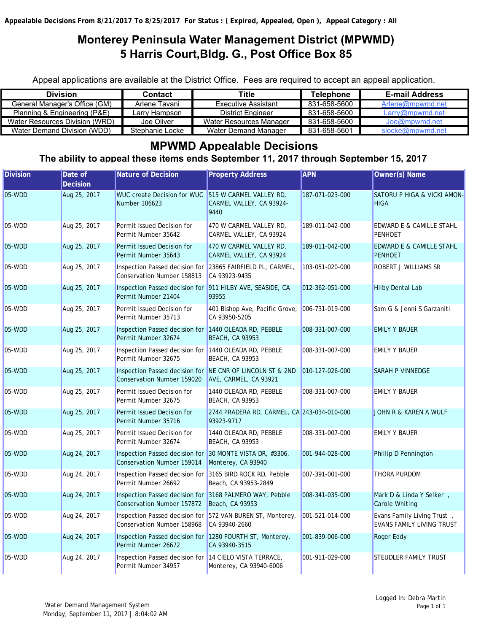# **Monterey Peninsula Water Management District (MPWMD) 5 Harris Court,Bldg. G., Post Office Box 85**

Appeal applications are available at the District Office. Fees are required to accept an appeal application.

| <b>Division</b>                | Contact         | Title                    | Telephone    | <b>E-mail Address</b> |
|--------------------------------|-----------------|--------------------------|--------------|-----------------------|
| General Manager's Office (GM)  | Arlene Tavani   | Executive Assistant      | 831-658-5600 | Arlene@mpwmd.net      |
| Planning & Engineering (P&E)   | Larrv Hampson   | <b>District Engineer</b> | 831-658-5600 | Larry@mpwmd.net       |
| Water Resources Division (WRD) | Joe Oliver      | Water Resources Manager  | 831-658-5600 | Joe@mpwmd.net         |
| Water Demand Division (WDD)    | Stephanie Locke | Water Demand Manager     | 831-658-5601 | slocke@mpwmd.net      |

## **MPWMD Appealable Decisions**

**The ability to appeal these items ends September 11, 2017 through September 15, 2017**

| <b>Division</b> | Date of<br><b>Decision</b> | Nature of Decision                                                                           | <b>Property Address</b>                                                     | <b>APN</b>      | Owner(s) Name                                                  |
|-----------------|----------------------------|----------------------------------------------------------------------------------------------|-----------------------------------------------------------------------------|-----------------|----------------------------------------------------------------|
| 05-WDD          | Aug 25, 2017               | WUC create Decision for WUC 515 W CARMEL VALLEY RD,<br>Number 106623                         | CARMEL VALLEY, CA 93924-<br>9440                                            | 187-071-023-000 | SATORU P HIGA & VICKI AMON-<br><b>HIGA</b>                     |
| 05-WDD          | Aug 25, 2017               | Permit Issued Decision for<br>Permit Number 35642                                            | 470 W CARMEL VALLEY RD,<br>CARMEL VALLEY, CA 93924                          | 189-011-042-000 | EDWARD E & CAMILLE STAHL<br><b>PENHOET</b>                     |
| 05-WDD          | Aug 25, 2017               | Permit Issued Decision for<br>Permit Number 35643                                            | 470 W CARMEL VALLEY RD,<br>CARMEL VALLEY, CA 93924                          | 189-011-042-000 | <b>EDWARD E &amp; CAMILLE STAHL</b><br><b>PENHOET</b>          |
| 05-WDD          | Aug 25, 2017               | Inspection Passed decision for 23865 FAIRFIELD PL, CARMEL,<br>Conservation Number 158813     | CA 93923-9435                                                               | 103-051-020-000 | ROBERT J WILLIAMS SR                                           |
| 05-WDD          | Aug 25, 2017               | Inspection Passed decision for 911 HILBY AVE, SEASIDE, CA<br>Permit Number 21404             | 93955                                                                       | 012-362-051-000 | <b>Hilby Dental Lab</b>                                        |
| 05-WDD          | Aug 25, 2017               | Permit Issued Decision for<br>Permit Number 35713                                            | 401 Bishop Ave, Pacific Grove,<br>CA 93950-5205                             | 006-731-019-000 | Sam G & Jenni S Garzaniti                                      |
| 05-WDD          | Aug 25, 2017               | Inspection Passed decision for 1440 OLEADA RD, PEBBLE<br>Permit Number 32674                 | <b>BEACH, CA 93953</b>                                                      | 008-331-007-000 | <b>EMILY Y BAUER</b>                                           |
| 05-WDD          | Aug 25, 2017               | Inspection Passed decision for 1440 OLEADA RD, PEBBLE<br>Permit Number 32675                 | <b>BEACH, CA 93953</b>                                                      | 008-331-007-000 | <b>EMILY Y BAUER</b>                                           |
| 05-WDD          | Aug 25, 2017               | Inspection Passed decision for NE CNR OF LINCOLN ST & 2ND<br>Conservation Number 159020      | AVE, CARMEL, CA 93921                                                       | 010-127-026-000 | <b>SARAH P VINNEDGE</b>                                        |
| 05-WDD          | Aug 25, 2017               | Permit Issued Decision for<br>Permit Number 32675                                            | 1440 OLEADA RD, PEBBLE<br><b>BEACH, CA 93953</b>                            | 008-331-007-000 | <b>EMILY Y BAUER</b>                                           |
| 05-WDD          | Aug 25, 2017               | Permit Issued Decision for<br>Permit Number 35716                                            | 2744 PRADERA RD, CARMEL, CA 243-034-010-000<br>93923-9717                   |                 | JOHN R & KAREN A WULF                                          |
| 05-WDD          | Aug 25, 2017               | Permit Issued Decision for<br>Permit Number 32674                                            | 1440 OLEADA RD, PEBBLE<br><b>BEACH, CA 93953</b>                            | 008-331-007-000 | <b>EMILY Y BAUER</b>                                           |
| 05-WDD          | Aug 24, 2017               | Inspection Passed decision for 30 MONTE VISTA DR, #3306,<br>Conservation Number 159014       | Monterey, CA 93940                                                          | 001-944-028-000 | Phillip D Pennington                                           |
| 05-WDD          | Aug 24, 2017               | Inspection Passed decision for 3165 BIRD ROCK RD, Pebble<br>Permit Number 26692              | Beach, CA 93953-2849                                                        | 007-391-001-000 | <b>THORA PURDOM</b>                                            |
| 05-WDD          | Aug 24, 2017               | Inspection Passed decision for 3168 PALMERO WAY, Pebble<br><b>Conservation Number 157872</b> | Beach, CA 93953                                                             | 008-341-035-000 | Mark D & Linda Y Selker,<br><b>Carole Whiting</b>              |
| 05-WDD          | Aug 24, 2017               | Conservation Number 158968                                                                   | Inspection Passed decision for 572 VAN BUREN ST, Monterey,<br>CA 93940-2660 | 001-521-014-000 | Evans Family Living Trust,<br><b>EVANS FAMILY LIVING TRUST</b> |
| 05-WDD          | Aug 24, 2017               | Inspection Passed decision for 1280 FOURTH ST, Monterey,<br>Permit Number 26672              | CA 93940-3515                                                               | 001-839-006-000 | Roger Eddy                                                     |
| 05-WDD          | Aug 24, 2017               | Inspection Passed decision for 14 CIELO VISTA TERRACE,<br>Permit Number 34957                | Monterey, CA 93940-6006                                                     | 001-911-029-000 | STEUDLER FAMILY TRUST                                          |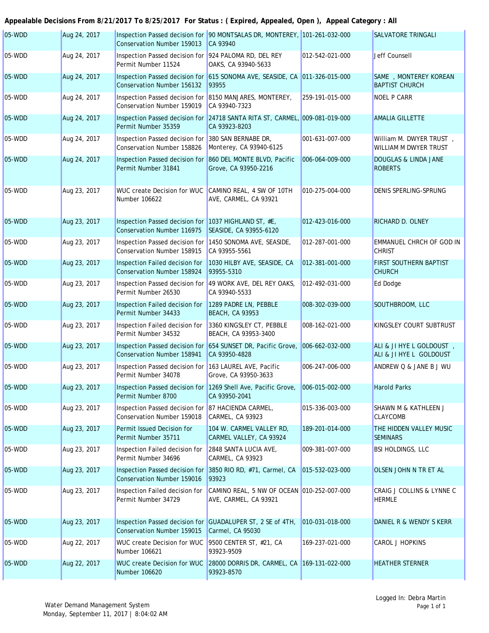| 05-WDD   | Aug 24, 2017 | <b>Conservation Number 159013</b>                                                         | Inspection Passed decision for 90 MONTSALAS DR, MONTEREY, 101-261-032-000<br>CA 93940          |                 | <b>SALVATORE TRINGALI</b>                           |
|----------|--------------|-------------------------------------------------------------------------------------------|------------------------------------------------------------------------------------------------|-----------------|-----------------------------------------------------|
| 05-WDD   | Aug 24, 2017 | Inspection Passed decision for 924 PALOMA RD, DEL REY<br>Permit Number 11524              | OAKS, CA 93940-5633                                                                            | 012-542-021-000 | Jeff Counsell                                       |
| 05-WDD   | Aug 24, 2017 | <b>Conservation Number 156132</b>                                                         | Inspection Passed decision for 615 SONOMA AVE, SEASIDE, CA 011-326-015-000<br>93955            |                 | SAME , MONTEREY KOREAN<br><b>BAPTIST CHURCH</b>     |
| 05-WDD   | Aug 24, 2017 | Inspection Passed decision for 8150 MANJARES, MONTEREY,<br>Conservation Number 159019     | CA 93940-7323                                                                                  | 259-191-015-000 | <b>NOEL P CARR</b>                                  |
| 05-WDD   | Aug 24, 2017 | Permit Number 35359                                                                       | Inspection Passed decision for 24718 SANTA RITA ST, CARMEL, 009-081-019-000<br>CA 93923-8203   |                 | <b>AMALIA GILLETTE</b>                              |
| $05-WDD$ | Aug 24, 2017 | Inspection Passed decision for 380 SAN BERNABE DR,<br>Conservation Number 158826          | Monterey, CA 93940-6125                                                                        | 001-631-007-000 | William M. DWYER TRUST,<br>WILLIAM M DWYER TRUST    |
| 05-WDD   | Aug 24, 2017 | Inspection Passed decision for<br>Permit Number 31841                                     | 860 DEL MONTE BLVD, Pacific<br>Grove, CA 93950-2216                                            | 006-064-009-000 | <b>DOUGLAS &amp; LINDA JANE</b><br><b>ROBERTS</b>   |
| 05-WDD   | Aug 23, 2017 | WUC create Decision for WUC<br>Number 106622                                              | CAMINO REAL, 4 SW OF 10TH<br>AVE, CARMEL, CA 93921                                             | 010-275-004-000 | <b>DENIS SPERLING-SPRUNG</b>                        |
| 05-WDD   | Aug 23, 2017 | Inspection Passed decision for 1037 HIGHLAND ST, #E,<br><b>Conservation Number 116975</b> | SEASIDE, CA 93955-6120                                                                         | 012-423-016-000 | RICHARD D. OLNEY                                    |
| 05-WDD   | Aug 23, 2017 | Inspection Passed decision for 1450 SONOMA AVE, SEASIDE,<br>Conservation Number 158915    | CA 93955-5561                                                                                  | 012-287-001-000 | <b>EMMANUEL CHRCH OF GOD IN</b><br><b>CHRIST</b>    |
| 05-WDD   | Aug 23, 2017 | Inspection Failed decision for<br>Conservation Number 158924                              | 1030 HILBY AVE, SEASIDE, CA<br>93955-5310                                                      | 012-381-001-000 | <b>FIRST SOUTHERN BAPTIST</b><br><b>CHURCH</b>      |
| 05-WDD   | Aug 23, 2017 | Inspection Passed decision for<br>Permit Number 26530                                     | 49 WORK AVE, DEL REY OAKS,<br>CA 93940-5533                                                    | 012-492-031-000 | Ed Dodge                                            |
| 05-WDD   | Aug 23, 2017 | Inspection Failed decision for<br>Permit Number 34433                                     | 1289 PADRE LN, PEBBLE<br><b>BEACH, CA 93953</b>                                                | 008-302-039-000 | SOUTHBROOM, LLC                                     |
| 05-WDD   | Aug 23, 2017 | Inspection Failed decision for<br>Permit Number 34532                                     | 3360 KINGSLEY CT, PEBBLE<br>BEACH, CA 93953-3400                                               | 008-162-021-000 | KINGSLEY COURT SUBTRUST                             |
| 05-WDD   | Aug 23, 2017 | <b>Conservation Number 158941</b>                                                         | Inspection Passed decision for 654 SUNSET DR, Pacific Grove, 006-662-032-000<br>CA 93950-4828  |                 | ALI & JI HYE L GOLDOUST,<br>ALI & JI HYE L GOLDOUST |
| $05-WDD$ | Aug 23, 2017 | Inspection Passed decision for 163 LAUREL AVE, Pacific<br>Permit Number 34078             | Grove, CA 93950-3633                                                                           | 006-247-006-000 | ANDREW Q & JANE B J WU                              |
| 05-WDD   | Aug 23, 2017 | Permit Number 8700                                                                        | Inspection Passed decision for 1269 Shell Ave, Pacific Grove, 006-015-002-000<br>CA 93950-2041 |                 | <b>Harold Parks</b>                                 |
| 05-WDD   | Aug 23, 2017 | Inspection Passed decision for 87 HACIENDA CARMEL,<br>Conservation Number 159018          | CARMEL, CA 93923                                                                               | 015-336-003-000 | SHAWN M & KATHLEEN J<br><b>CLAYCOMB</b>             |
| 05-WDD   | Aug 23, 2017 | Permit Issued Decision for<br>Permit Number 35711                                         | 104 W. CARMEL VALLEY RD,<br>CARMEL VALLEY, CA 93924                                            | 189-201-014-000 | THE HIDDEN VALLEY MUSIC<br><b>SEMINARS</b>          |
| 05-WDD   | Aug 23, 2017 | Inspection Failed decision for<br>Permit Number 34696                                     | 2848 SANTA LUCIA AVE,<br>CARMEL, CA 93923                                                      | 009-381-007-000 | <b>BSI HOLDINGS, LLC</b>                            |
| 05-WDD   | Aug 23, 2017 | Conservation Number 159016                                                                | Inspection Passed decision for 3850 RIO RD, #71, Carmel, CA<br>93923                           | 015-532-023-000 | OLSEN JOHN N TR ET AL                               |
| 05-WDD   | Aug 23, 2017 | Inspection Failed decision for<br>Permit Number 34729                                     | CAMINO REAL, 5 NW OF OCEAN 010-252-007-000<br>AVE, CARMEL, CA 93921                            |                 | CRAIG J COLLINS & LYNNE C<br><b>HERMLE</b>          |
| 05-WDD   | Aug 23, 2017 | Inspection Passed decision for<br>Conservation Number 159015                              | GUADALUPER ST, 2 SE of 4TH,<br>Carmel, CA 95030                                                | 010-031-018-000 | DANIEL R & WENDY S KERR                             |
| 05-WDD   | Aug 22, 2017 | WUC create Decision for WUC<br>Number 106621                                              | 9500 CENTER ST, #21, CA<br>93923-9509                                                          | 169-237-021-000 | CAROL J HOPKINS                                     |
| 05-WDD   | Aug 22, 2017 | <b>WUC create Decision for WUC</b><br>Number 106620                                       | 28000 DORRIS DR, CARMEL, CA 169-131-022-000<br>93923-8570                                      |                 | <b>HEATHER STERNER</b>                              |
|          |              |                                                                                           |                                                                                                |                 |                                                     |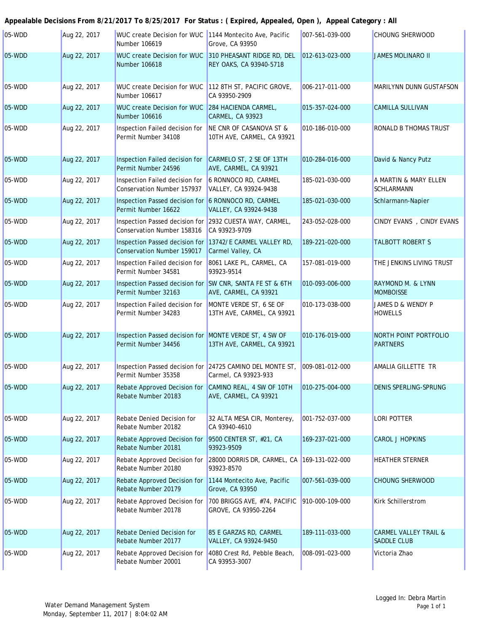#### 05-WDD Aug 22, 2017 WUC create Decision for WUC 1144 Montecito Ave, Pacific Grove, CA 93950 Aug 22, 2017 WUC create Decision for WUC 310 PHEASANT RIDGE RD, DEL 012-613-023-000 REY OAKS, CA 93940-5718 05-WDD **Aug 22, 2017** WUC create Decision for WUC 112 8TH ST, PACIFIC GROVE, CA 93950-2909 Aug 22, 2017 284 HACIENDA CARMEL, 05-WDD WUC create Decision for WUC CARMEL, CA 93923 05-WDD **Aug 22, 2017** Inspection Failed decision for **NE CNR OF CASANOVA ST &** 10TH AVE, CARMEL, CA 93921 05-WDD **Aug 22, 2017 Inspection Failed decision for CARMELO ST, 2 SE OF 13TH** AVE, CARMEL, CA 93921 05-WDD **Aug 22, 2017** Inspection Failed decision for **6 RONNOCO RD, CARMEL** VALLEY, CA 93924-9438 05-WDD **Aug 22, 2017** Inspection Passed decision for 6 RONNOCO RD, CARMEL VALLEY, CA 93924-9438 05-WDD **Aug 22, 2017 Inspection Passed decision for 2932 CUESTA WAY, CARMEL,** CA 93923-9709 05-WDD **Aug 22, 2017 Inspection Passed decision for 13742/E CARMEL VALLEY RD,** Carmel Valley, CA 05-WDD **Aug 22, 2017** Inspection Failed decision for 8061 LAKE PL, CARMEL, CA 93923-9514 05-WDD **Aug 22, 2017** Inspection Passed decision for SW CNR, SANTA FE ST & 6TH AVE, CARMEL, CA 93921 05-WDD **Aug 22, 2017 Inspection Failed decision for MONTE VERDE ST, 6 SE OF** 13TH AVE, CARMEL, CA 93921 05-WDD **Aug 22, 2017** Inspection Passed decision for MONTE VERDE ST, 4 SW OF 13TH AVE, CARMEL, CA 93921 05-WDD **Aug 22, 2017** Inspection Passed decision for 24725 CAMINO DEL MONTE ST, Carmel, CA 93923-933 05-WDD **Aug 22, 2017** Rebate Approved Decision for CAMINO REAL, 4 SW OF 10TH AVE, CARMEL, CA 93921 Aug 22, 2017 Rebate Denied Decision for 32 ALTA MESA CIR, Monterey, CA 93940-4610 05-WDD **Aug 22, 2017** Rebate Approved Decision for 19500 CENTER ST, #21, CA 93923-9509 Aug 22, 2017 Rebate Approved Decision for 28000 DORRIS DR, CARMEL, CA 169-131-022-000 93923-8570 05-WDD **Aug 22, 2017** Rebate Approved Decision for 1144 Montecito Ave, Pacific Grove, CA 93950 Aug 22, 2017 Rebate Approved Decision for 1700 BRIGGS AVE, #74, PACIFIC 1910-000-109-000 Kirk Schillerstrom GROVE, CA 93950-2264 05-WDD **Aug 22, 2017** Rebate Denied Decision for 85 E GARZAS RD, CARMEL VALLEY, CA 93924-9450 05-WDD **Aug 22, 2017** Rebate Approved Decision for 4080 Crest Rd, Pebble Beach, CA 93953-3007 Rebate Number 20177 189-111-033-000 CARMEL VALLEY TRAIL & SADDLE CLUB Rebate Number 20001 008-091-023-000 Victoria Zhao Rebate Number 20179 007-561-039-000 CHOUNG SHERWOOD 05-WDD **Aug 22, 2017** Rebate Approved Decision for Rebate Number 20178 Rebate Number 20181 169-237-021-000 CAROL J HOPKINS 05-WDD **Aug 22, 2017** Rebate Approved Decision for Rebate Number 20180 **HEATHER STERNER** Rebate Number 20183 010-275-004-000 DENIS SPERLING-SPRUNG 05-WDD **Aug 22, 2017** Rebate Denied Decision for Rebate Number 20182 001-752-037-000 LORI POTTER Permit Number 34456 010-176-019-000 NORTH POINT PORTFOLIO PARTNERS Permit Number 35358 AMALIA GILLETTE TR Permit Number 32163 010-093-006-000 RAYMOND M. & LYNN **MOMBOISSE** Permit Number 34283 010-173-038-000 JAMES D & WENDY P HOWELLS Conservation Number 159017 189-221-020-000 TALBOTT ROBERT S Permit Number 34581 157-081-019-000 THE JENKINS LIVING TRUST Permit Number 16622 185-021-030-000 Schlarmann-Napier Conservation Number 158316 243-052-028-000 CINDY EVANS , CINDY EVANS Permit Number 24596 010-284-016-000 David & Nancy Putz Conservation Number 157937 185-021-030-000 **A MARTIN & MARY ELLEN SCHLARMANN** Number 106616 015-357-024-000 CAMILLA SULLIVAN Permit Number 34108 010-186-010-000 RONALD B THOMAS TRUST 05-WDD **Aug 22, 2017** WUC create Decision for WUC Number 106618 JAMES MOLINARO II Number 106617 006-217-011-000 MARILYNN DUNN GUSTAFSON Number 106619 007-561-039-000 CHOUNG SHERWOOD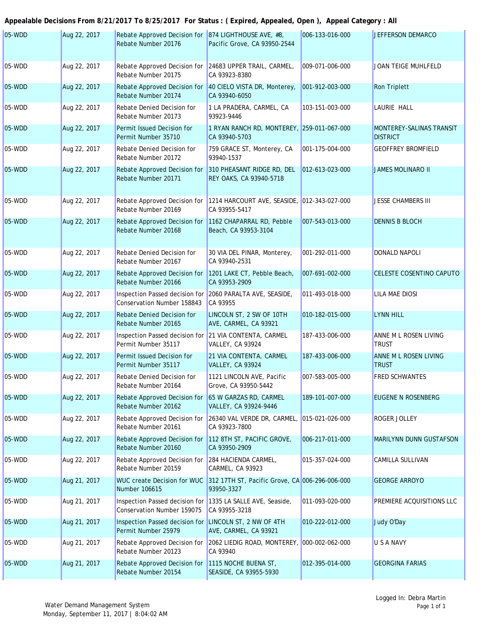| 05-WDD   | Aug 22, 2017 | Rebate Approved Decision for 874 LIGHTHOUSE AVE, #8,<br>Rebate Number 20176   | Pacific Grove, CA 93950-2544                                 | 006-133-016-000 | <b>JEFFERSON DEMARCO</b>                           |
|----------|--------------|-------------------------------------------------------------------------------|--------------------------------------------------------------|-----------------|----------------------------------------------------|
| 05-WDD   | Aug 22, 2017 | Rebate Approved Decision for<br>Rebate Number 20175                           | 24683 UPPER TRAIL, CARMEL,<br>CA 93923-8380                  | 009-071-006-000 | JOAN TEIGE MUHLFELD                                |
| 05-WDD   | Aug 22, 2017 | Rebate Approved Decision for<br>Rebate Number 20174                           | 40 CIELO VISTA DR, Monterey,<br>CA 93940-6050                | 001-912-003-000 | <b>Ron Triplett</b>                                |
| 05-WDD   | Aug 22, 2017 | <b>Rebate Denied Decision for</b><br>Rebate Number 20173                      | 1 LA PRADERA, CARMEL, CA<br>93923-9446                       | 103-151-003-000 | <b>LAURIE HALL</b>                                 |
| 05-WDD   | Aug 22, 2017 | Permit Issued Decision for<br>Permit Number 35710                             | 1 RYAN RANCH RD, MONTEREY, 259-011-067-000<br>CA 93940-5703  |                 | <b>MONTEREY-SALINAS TRANSIT</b><br><b>DISTRICT</b> |
| $05-WDD$ | Aug 22, 2017 | Rebate Denied Decision for<br>Rebate Number 20172                             | 759 GRACE ST, Monterey, CA<br>93940-1537                     | 001-175-004-000 | <b>GEOFFREY BROMFIELD</b>                          |
| 05-WDD   | Aug 22, 2017 | Rebate Approved Decision for<br>Rebate Number 20171                           | 310 PHEASANT RIDGE RD, DEL<br>REY OAKS, CA 93940-5718        | 012-613-023-000 | <b>JAMES MOLINARO II</b>                           |
| 05-WDD   | Aug 22, 2017 | Rebate Approved Decision for<br>Rebate Number 20169                           | 1214 HARCOURT AVE, SEASIDE, 012-343-027-000<br>CA 93955-5417 |                 | <b>JESSE CHAMBERS III</b>                          |
| 05-WDD   | Aug 22, 2017 | Rebate Approved Decision for<br>Rebate Number 20168                           | 1162 CHAPARRAL RD, Pebble<br>Beach, CA 93953-3104            | 007-543-013-000 | <b>DENNIS B BLOCH</b>                              |
| $05-WDD$ | Aug 22, 2017 | Rebate Denied Decision for<br>Rebate Number 20167                             | 30 VIA DEL PINAR, Monterey,<br>CA 93940-2531                 | 001-292-011-000 | <b>DONALD NAPOLI</b>                               |
| 05-WDD   | Aug 22, 2017 | Rebate Approved Decision for<br>Rebate Number 20166                           | 1201 LAKE CT, Pebble Beach,<br>CA 93953-2909                 | 007-691-002-000 | <b>CELESTE COSENTINO CAPUTO</b>                    |
| 05-WDD   | Aug 22, 2017 | Inspection Passed decision for<br>Conservation Number 158843                  | 2060 PARALTA AVE, SEASIDE,<br>CA 93955                       | 011-493-018-000 | <b>LILA MAE DIOSI</b>                              |
| 05-WDD   | Aug 22, 2017 | Rebate Denied Decision for<br>Rebate Number 20165                             | LINCOLN ST, 2 SW OF 10TH<br>AVE, CARMEL, CA 93921            | 010-182-015-000 | <b>LYNN HILL</b>                                   |
| 05-WDD   | Aug 22, 2017 | Inspection Passed decision for 21 VIA CONTENTA, CARMEL<br>Permit Number 35117 | <b>VALLEY, CA 93924</b>                                      | 187-433-006-000 | ANNE M L ROSEN LIVING<br>TRUST                     |
| 05-WDD   | Aug 22, 2017 | Permit Issued Decision for<br>Permit Number 35117                             | 21 VIA CONTENTA, CARMEL<br>VALLEY, CA 93924                  | 187-433-006-000 | ANNE M L ROSEN LIVING<br><b>TRUST</b>              |
| $05-WDD$ | Aug 22, 2017 | Rebate Denied Decision for<br>Rebate Number 20164                             | 1121 LINCOLN AVE, Pacific<br>Grove, CA 93950-5442            | 007-583-005-000 | <b>FRED SCHWANTES</b>                              |
| 05-WDD   | Aug 22, 2017 | <b>Rebate Approved Decision for</b><br>Rebate Number 20162                    | 65 W GARZAS RD, CARMEL<br>VALLEY, CA 93924-9446              | 189-101-007-000 | EUGENE N ROSENBERG                                 |
| 05-WDD   | Aug 22, 2017 | Rebate Approved Decision for<br>Rebate Number 20161                           | 26340 VAL VERDE DR, CARMEL,<br>CA 93923-7800                 | 015-021-026-000 | <b>ROGER JOLLEY</b>                                |
| 05-WDD   | Aug 22, 2017 | Rebate Approved Decision for<br>Rebate Number 20160                           | 112 8TH ST, PACIFIC GROVE,<br>CA 93950-2909                  | 006-217-011-000 | <b>MARILYNN DUNN GUSTAFSON</b>                     |
| 05-WDD   | Aug 22, 2017 | Rebate Approved Decision for<br>Rebate Number 20159                           | 284 HACIENDA CARMEL,<br>CARMEL, CA 93923                     | 015-357-024-000 | CAMILLA SULLIVAN                                   |
| $05-WDD$ | Aug 21, 2017 | <b>WUC create Decision for WUC</b><br>Number 106615                           | 312 17TH ST, Pacific Grove, CA 006-296-006-000<br>93950-3327 |                 | <b>GEORGE ARROYO</b>                               |
| 05-WDD   | Aug 21, 2017 | Inspection Passed decision for<br>Conservation Number 159075                  | 1335 LA SALLE AVE, Seaside,<br>CA 93955-3218                 | 011-093-020-000 | PREMIERE ACQUISITIONS LLC                          |
| 05-WDD   | Aug 21, 2017 | Inspection Passed decision for<br>Permit Number 25979                         | LINCOLN ST, 2 NW OF 4TH<br>AVE, CARMEL, CA 93921             | 010-222-012-000 | Judy O'Day                                         |
| 05-WDD   | Aug 21, 2017 | Rebate Approved Decision for<br>Rebate Number 20123                           | 2062 LIEDIG ROAD, MONTEREY, 000-002-062-000<br>CA 93940      |                 | <b>U S A NAVY</b>                                  |
| 05-WDD   | Aug 21, 2017 | Rebate Approved Decision for<br>Rebate Number 20154                           | 1115 NOCHE BUENA ST,<br>SEASIDE, CA 93955-5930               | 012-395-014-000 | <b>GEORGINA FARIAS</b>                             |